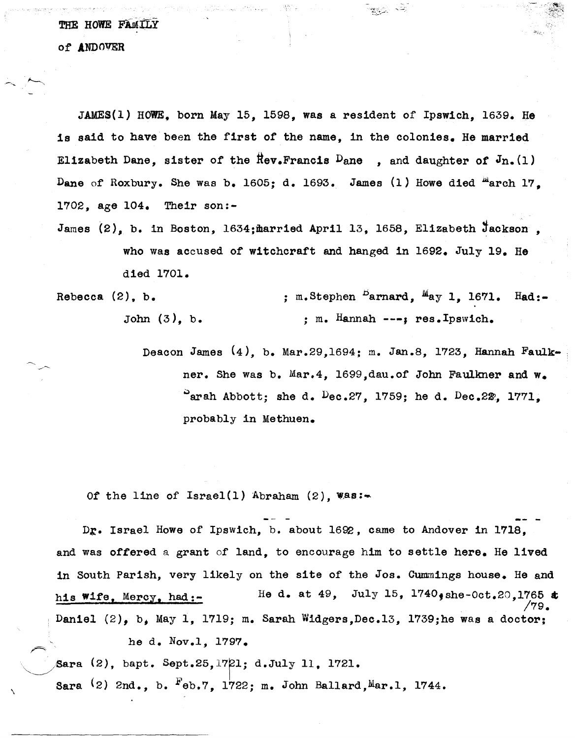THE HOWE FAMILY of ANDOVER

JAMES(l) HOWE. born May 15, 1598, was a resident of Ipswich, 1639. He is said to have been the first *ot* the name, in the colonies. He married Elizabeth Dane, sister of the  $\text{Rev}\text{-}\text{Francis }$  Dane, and daughter of  $J_{n.}(1)$ Dane of Roxbury. She was b. 1605; d. 1693. James (1) Howe died  ${}^{12}$ arch 17. 1702, age 104. Their son:-

James  $(2)$ , b. in Boston, 1634; married April 13, 1658, Elizabeth Jackson. who was accused *ot* witchcraft and hanged in 1692. July 19. He died 1701.

Rebecca (2), b. John (3), b. ; m. Stephen  $^{\text{B}}$ arnard,  $^{\text{M}}$ ay 1, 1671. Had:-; m. Hannah ---, res.Ipswich.

> Deacon James (4), b. Mar.29,1694; m. Jan.8, 1723, Hannah Faulk- . ner. She was b. Mar.4, 1699,dau.of John Faulkner and w.  $^{\circ}$ arah Abbott; she d.  $^{\circ}$ ec.27, 1759; he d.  $^{\circ}$ ec.22, 1771, probably in Methuen.

현상자

of the line of  $Israel(1)$  Abraham  $(2)$ ,  $\texttt{Was:}$ 

Dr. Israel Howe of Ipswich, b. about 1692, came to Andover in 1718, and was offered a grant of land, to encourage him to settle here. He lived in South Parish, very likely on the site of the Jos. Cummings house. He and his Wife, Mercy, had:- Daniel (2), b, May 1, 1719; m. Sarah Widgers, Dec. 13, 1739; he was a doctor; He d. at 49, July 15,  $1740$ , she-Oct.20,1765  $\pm$ /79. he d. Nov.l, 1797.

~/6ara (2), bapt. Sept.25,17Fl; d.Ju1y 11, 1721.

\

Sara  $(2)$  2nd., b.  $F_{\theta}$ b.7, 1722; m. John Ballard, Mar.1, 1744.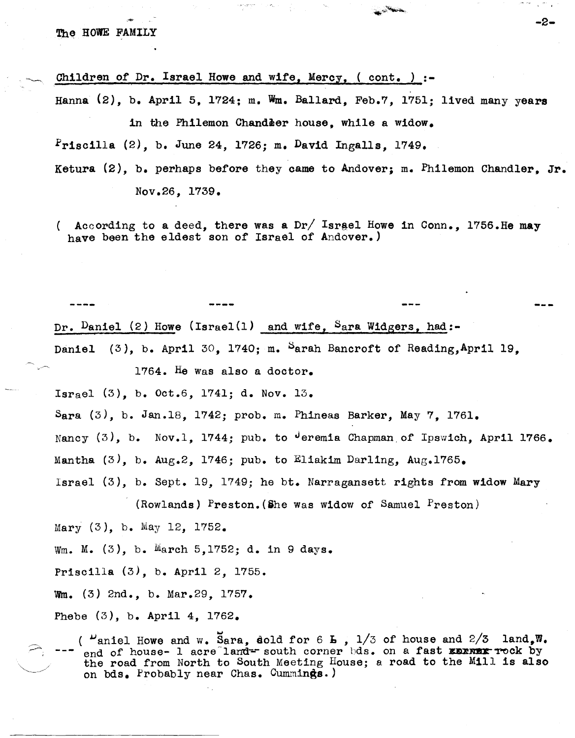,  $-$ 

Children of Dr. Israel Howe and wife, Mercy,  $($  cont.  $)$  :-

Hanna  $(2)$ , b. April 5, 1724; m. Wm. Ballard, Feb.7, 1751; lived many years in the Philemon Chandeer house, while a widow.

 $r_{\texttt{r}isc111a}$  (2), b. June 24, 1726; m. David Ingalls, 1749.

Ketura (2), b. perhaps before they came to Andover; m. fhilemon Chandler, Jr. Nov.26, 1739.

( According to a deed, there was a Dr/ Israel Howe in Conn., 1756.He may have been the eldest son of Israel of Andover.)

Dr. Daniel (2) Howe (Israel(1) and wife, Sara Widgers, had:-Daniel (3), b. April 30, 1740; m. Sarah Bancroft of Reading, April 19. 1764. He Was also a doctor. Israel  $(3)$ , b. Oct.6, 1741; d. Nov. 13. Sara  $(3)$ , b. Jan.18, 1742; prob. m. Phineas Barker, May 7. 1761. Nancy  $(3)$ , b. Nov.1, 1744; pub. to  $\theta$ eremia Chapman of Ipswich, April 1766. Mantha  $(3)$ , b. Aug.2, 1746; pub. to Eliakim Darling, Aug.1765.

Israel (3), b. Sept. 19, 1749; he bt. Narragansett rights from widow Mary

(Rowlands) Preston. (She was widow of Samuel Preston)

Mary (3), b. May 12, 1752.

Wm. M. (3), b. March 5,1752; d. in 9 days.

Priscilla (3), b. April 2, 1755.

Wm. (3) 2nd., b. Mar.29, 1757.

Phebe (3), b. April 4, 1762.

(  $\mu$  aniel Howe and w. Sara, sold for 6 L , 1/3 of house and 2/3 land, W. end of house-  $1$  acre<sup>-</sup>land=- south corner bds. on a fast **EDINEX** rock by the road from North to South Meeting House; a road to the Mill is also on bds. Probably near Chas. Cummings.)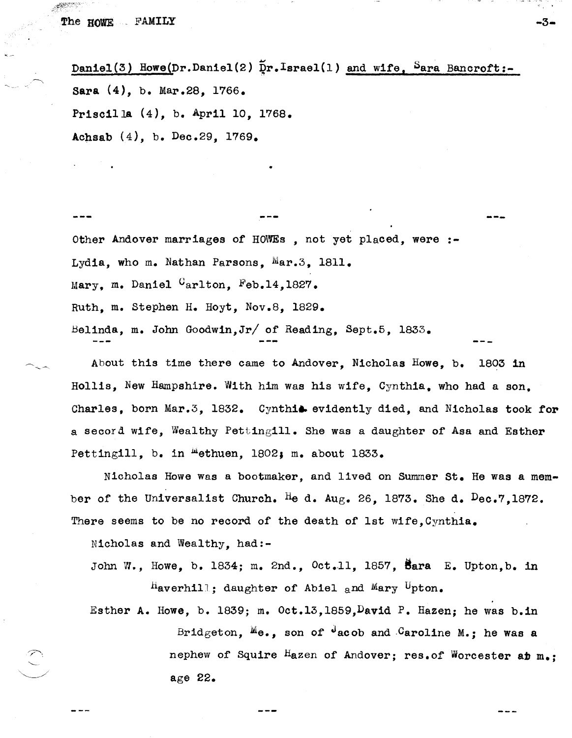Daniel(3) Howe(Dr.Daniel(2)  $\tilde{p}$ r.Israel(1) and wife, Sara Bancroft:-Sara (4), b. Mar.28, 1766. PriscilJa (4), b. April 10, 1768. Achsab (4), b. Dec.29, 1769.

Other Andover marriages of HOWEs , not yet placed, were :-Lydia, who m. Nathan Parsons,  $Mars3$ , 1811. Mary, m. Daniel  $C_{\rm arlton}$ . Feb.14,1827. Ruth, m. Stephen H. Hoyt, Nov.8, 1829. Belinda, m. John Goodwin, Jr/ of Reading, Sept. 5, 1833.

•

About this time there came to Andover. Nicholas Howe, b. 1803 in Hollis, New Hampshire. With him was his wire, Cynthia, who had a son, Charles, born Mar.3, 1832. Cynthia evidently died, and Nicholas took for a secord wife, Wealthy Pettingill. She was a daughter of Asa and Esther Pettingill, b. in  $^{\text{m}}$ ethuen, 1802; m. about 1833.

---

-3-

Nicholas Howe was a bootmaker, and lived on Summer St. He was a member of the Universalist Church. He d. Aug. 26, 1873. She d.  $Dec.7.1872.$ There seems to be no record of the death of 1st wife, Cynthia.

Nicholas and Wealthy, had:-

John W., Howe, b. 1834; m. 2nd.,  $0ct.11$ . 1857. Bara E. Upton.b. in  $^{\text{H}}$ averhill; daughter of Abiel and Mary Upton.

Esther A. Howe, b. 1839; m. Oct.13,1859. David P. Hazen; he was b.in Bridgeton,  $M_{\theta_{\theta}}$ , son of  $\theta$  acob and Caroline M.; he was a nephew of Squire Hazen of Andover; res. of Worcester at  $m_*$ : age 22.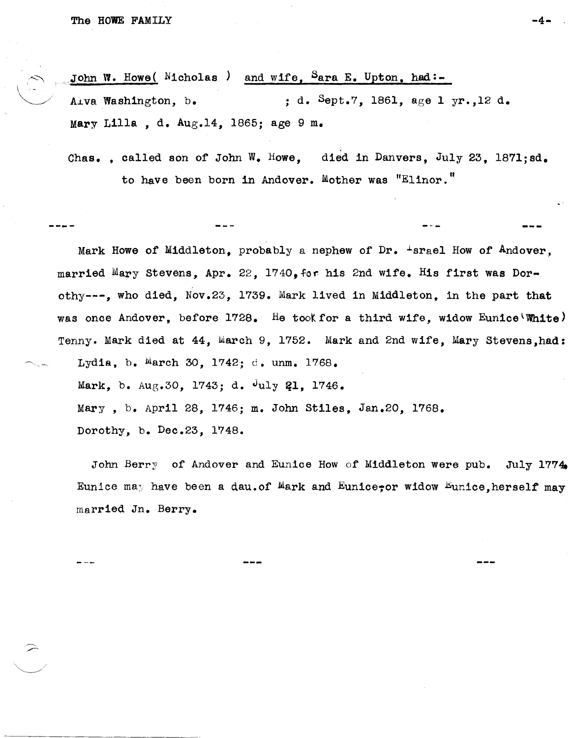$\leftarrow$ 

 $\begin{pmatrix} 1 \\ 1 \\ 1 \end{pmatrix}$ 

John W. Howe( Micholas ) and wife,  $S_{\text{ara }E}$ . Upton, had:-Alva Washington, b.  $\cdot$  , d. Sept.7, 1861, age 1 yr., 12 d. Mary Lilla , d. Aug.14, 1865; age 9 m.

Chas. . called son of John W. Howe. died in Danvers, July 23, 1871;sd. to have been born in Andover. Mother was "Elinor."

Mark Howe of Middleton, probably a nephew of  $Dr.$   $\pm$ srael How of Andover, married Mary Stevens, Apr. 22, 1740, for his 2nd wife. His first was Dorothy---, who died, Nov.23, 1'739. Mark lived in Middleton, in the part that was once Andover, before 1728. He took for a third wife, widow Eunice\White) Tenny. Mark died at 44, March 9, 1752. Mark and 2nd wife, Mary Stevens,had: Lydia, b. March 30, 1742; d. unm. 1768. Mark, b. Aug.30, 1743; d. July 21, 1746. Mary, b. April 28, 1746; m. John Stiles, Jan.20, 1768. Dorothy, b. Dec.23, 1748.

John Berry of Andover and Eunice How of Middleton were pub. July 1774. Eunice may have been a dau.of Mark and Eunice, widow Eunice, herself may married In. Berry.

...